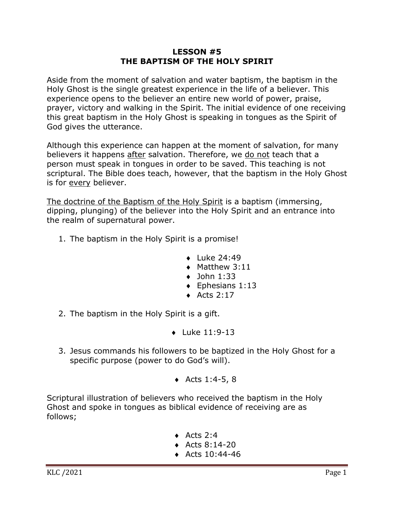## **LESSON #5 THE BAPTISM OF THE HOLY SPIRIT**

Aside from the moment of salvation and water baptism, the baptism in the Holy Ghost is the single greatest experience in the life of a believer. This experience opens to the believer an entire new world of power, praise, prayer, victory and walking in the Spirit. The initial evidence of one receiving this great baptism in the Holy Ghost is speaking in tongues as the Spirit of God gives the utterance.

Although this experience can happen at the moment of salvation, for many believers it happens after salvation. Therefore, we do not teach that a person must speak in tongues in order to be saved. This teaching is not scriptural. The Bible does teach, however, that the baptism in the Holy Ghost is for every believer.

The doctrine of the Baptism of the Holy Spirit is a baptism (immersing, dipping, plunging) of the believer into the Holy Spirit and an entrance into the realm of supernatural power.

- 1. The baptism in the Holy Spirit is a promise!
	- $\bullet$  Luke 24:49
	- $\triangleleft$  Matthew 3:11
	- $\bullet$  John 1:33
	- $\triangleleft$  Ephesians 1:13
	- $\triangleleft$  Acts 2:17
- 2. The baptism in the Holy Spirit is a gift.
	- $\bullet$  Luke 11:9-13
- 3. Jesus commands his followers to be baptized in the Holy Ghost for a specific purpose (power to do God's will).
	- $\triangleleft$  Acts 1:4-5, 8

Scriptural illustration of believers who received the baptism in the Holy Ghost and spoke in tongues as biblical evidence of receiving are as follows;

- $\triangleleft$  Acts 2:4
- $\triangleleft$  Acts 8:14-20
- $\triangleleft$  Acts 10:44-46